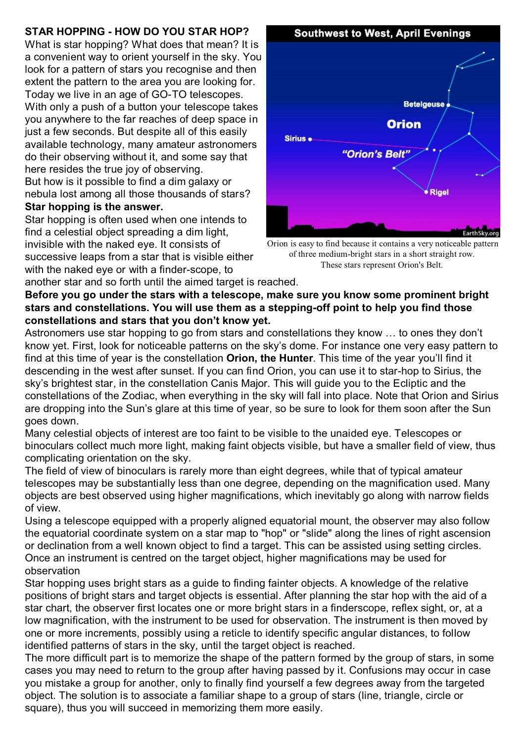## **STAR HOPPING - HOW DO YOU STAR HOP?**

What is star hopping? What does that mean? It is a convenient way to orient yourself in the sky. You look for a pattern of stars you recognise and then extent the pattern to the area you are looking for. Today we live in an age of GO-TO telescopes. With only a push of a button your telescope takes you anywhere to the far reaches of deep space in just a few seconds. But despite all of this easily available technology, many amateur astronomers do their observing without it, and some say that here resides the true joy of observing. But how is it possible to find a dim galaxy or nebula lost among all those thousands of stars?

## **Star hopping is the answer.**

Star hopping is often used when one intends to find a celestial object spreading a dim light, invisible with the naked eye. It consists of successive leaps from a star that is visible either with the naked eye or with a finder-scope, to another star and so forth until the aimed target is reached.

**Southwest to West, April Evenings Betelgeuse Orion** Sirius . "Orion's Belt" ● Rigel

Orion is easy to find because it contains a very noticeable pattern of three medium-bright stars in a short straight row. These stars represent Orion's Belt.

**Before you go under the stars with a telescope, make sure you know some prominent bright stars and constellations. You will use them as a stepping-off point to help you find those constellations and stars that you don't know yet.**

Astronomers use star hopping to go from stars and constellations they know … to ones they don't know yet. First, look for noticeable patterns on the sky's dome. For instance one very easy pattern to find at this time of year is the constellation **Orion, the Hunter**. This time of the year you'll find it descending in the west after sunset. If you can find Orion, you can use it to star-hop to Sirius, the sky's brightest star, in the constellation Canis Major. This will guide you to the Ecliptic and the constellations of the Zodiac, when everything in the sky will fall into place. Note that Orion and Sirius are dropping into the Sun's glare at this time of year, so be sure to look for them soon after the Sun goes down.

Many celestial objects of interest are too faint to be visible to the unaided eye. Telescopes or binoculars collect much more light, making faint objects visible, but have a smaller field of view, thus complicating orientation on the sky.

The field of view of binoculars is rarely more than eight degrees, while that of typical amateur telescopes may be substantially less than one degree, depending on the magnification used. Many objects are best observed using higher magnifications, which inevitably go along with narrow fields of view.

Using a telescope equipped with a properly aligned equatorial mount, the observer may also follow the equatorial coordinate system on a star map to "hop" or "slide" along the lines of right ascension or declination from a well known object to find a target. This can be assisted using setting circles. Once an instrument is centred on the target object, higher magnifications may be used for observation

Star hopping uses bright stars as a guide to finding fainter objects. A knowledge of the relative positions of bright stars and target objects is essential. After planning the star hop with the aid of a star chart, the observer first locates one or more bright stars in a finderscope, reflex sight, or, at a low magnification, with the instrument to be used for observation. The instrument is then moved by one or more increments, possibly using a reticle to identify specific angular distances, to follow identified patterns of stars in the sky, until the target object is reached.

The more difficult part is to memorize the shape of the pattern formed by the group of stars, in some cases you may need to return to the group after having passed by it. Confusions may occur in case you mistake a group for another, only to finally find yourself a few degrees away from the targeted object. The solution is to associate a familiar shape to a group of stars (line, triangle, circle or square), thus you will succeed in memorizing them more easily.